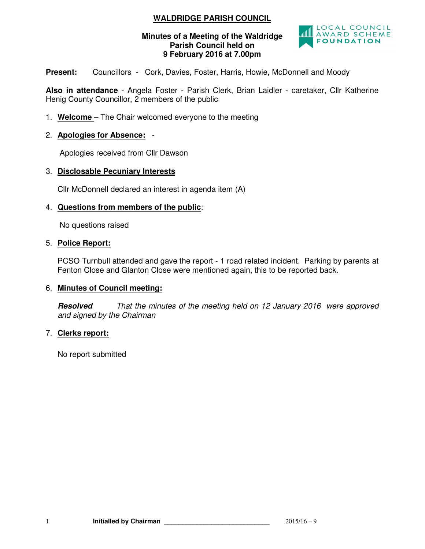# **WALDRIDGE PARISH COUNCIL**

### **Minutes of a Meeting of the Waldridge Parish Council held on 9 February 2016 at 7.00pm**



Present: Councillors - Cork, Davies, Foster, Harris, Howie, McDonnell and Moody

**Also in attendance** - Angela Foster - Parish Clerk, Brian Laidler - caretaker, Cllr Katherine Henig County Councillor, 2 members of the public

1. **Welcome** – The Chair welcomed everyone to the meeting

## 2. **Apologies for Absence:** -

Apologies received from Cllr Dawson

### 3. **Disclosable Pecuniary Interests**

Cllr McDonnell declared an interest in agenda item (A)

#### 4. **Questions from members of the public**:

No questions raised

#### 5. **Police Report:**

PCSO Turnbull attended and gave the report - 1 road related incident. Parking by parents at Fenton Close and Glanton Close were mentioned again, this to be reported back.

### 6. **Minutes of Council meeting:**

**Resolved** *That the minutes of the meeting held on 12 January 2016 were approved and signed by the Chairman* 

### 7. **Clerks report:**

No report submitted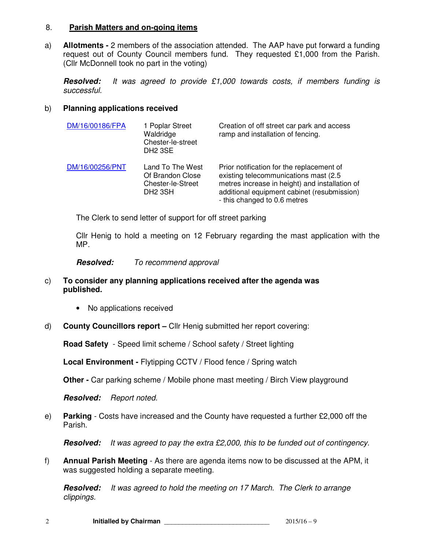#### 8. **Parish Matters and on-going items**

a) **Allotments -** 2 members of the association attended. The AAP have put forward a funding request out of County Council members fund. They requested £1,000 from the Parish. (Cllr McDonnell took no part in the voting)

**Resolved:** *It was agreed to provide £1,000 towards costs, if members funding is successful.*

### b) **Planning applications received**

| DM/16/00186/FPA | 1 Poplar Street<br>Waldridge<br>Chester-le-street<br>DH <sub>2</sub> 3SE         | Creation of off street car park and access<br>ramp and installation of fencing.                                                                                                                                      |
|-----------------|----------------------------------------------------------------------------------|----------------------------------------------------------------------------------------------------------------------------------------------------------------------------------------------------------------------|
| DM/16/00256/PNT | Land To The West<br>Of Brandon Close<br>Chester-le-Street<br>DH <sub>2</sub> 3SH | Prior notification for the replacement of<br>existing telecommunications mast (2.5)<br>metres increase in height) and installation of<br>additional equipment cabinet (resubmission)<br>- this changed to 0.6 metres |

The Clerk to send letter of support for off street parking

Cllr Henig to hold a meeting on 12 February regarding the mast application with the MP.

**Resolved:** *To recommend approval* 

- c) **To consider any planning applications received after the agenda was published.** 
	- No applications received
- d) **County Councillors report** Cllr Henig submitted her report covering:

**Road Safety** - Speed limit scheme / School safety / Street lighting

**Local Environment -** Flytipping CCTV / Flood fence / Spring watch

**Other -** Car parking scheme / Mobile phone mast meeting / Birch View playground

**Resolved:** *Report noted.* 

e) **Parking** - Costs have increased and the County have requested a further £2,000 off the Parish.

**Resolved:** *It was agreed to pay the extra £2,000, this to be funded out of contingency.* 

f) **Annual Parish Meeting** - As there are agenda items now to be discussed at the APM, it was suggested holding a separate meeting.

**Resolved:** *It was agreed to hold the meeting on 17 March. The Clerk to arrange clippings.*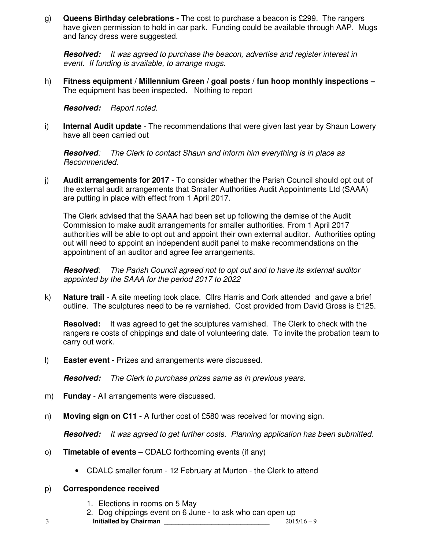g) **Queens Birthday celebrations -** The cost to purchase a beacon is £299. The rangers have given permission to hold in car park. Funding could be available through AAP. Mugs and fancy dress were suggested.

**Resolved:** *It was agreed to purchase the beacon, advertise and register interest in event. If funding is available, to arrange mugs.* 

h) **Fitness equipment / Millennium Green / goal posts / fun hoop monthly inspections –**  The equipment has been inspected. Nothing to report

**Resolved:** *Report noted.* 

i) **Internal Audit update** - The recommendations that were given last year by Shaun Lowery have all been carried out

**Resolved***: The Clerk to contact Shaun and inform him everything is in place as Recommended.* 

j) **Audit arrangements for 2017** - To consider whether the Parish Council should opt out of the external audit arrangements that Smaller Authorities Audit Appointments Ltd (SAAA) are putting in place with effect from 1 April 2017.

The Clerk advised that the SAAA had been set up following the demise of the Audit Commission to make audit arrangements for smaller authorities. From 1 April 2017 authorities will be able to opt out and appoint their own external auditor. Authorities opting out will need to appoint an independent audit panel to make recommendations on the appointment of an auditor and agree fee arrangements.

**Resolved**: *The Parish Council agreed not to opt out and to have its external auditor appointed by the SAAA for the period 2017 to 2022* 

k) **Nature trail** - A site meeting took place. Cllrs Harris and Cork attended and gave a brief outline. The sculptures need to be re varnished. Cost provided from David Gross is £125.

**Resolved:** It was agreed to get the sculptures varnished. The Clerk to check with the rangers re costs of chippings and date of volunteering date. To invite the probation team to carry out work.

l) **Easter event -** Prizes and arrangements were discussed.

**Resolved:** *The Clerk to purchase prizes same as in previous years.* 

- m) **Funday**  All arrangements were discussed.
- n) **Moving sign on C11** A further cost of £580 was received for moving sign.

**Resolved:** *It was agreed to get further costs. Planning application has been submitted.* 

- o) **Timetable of events** CDALC forthcoming events (if any)
	- CDALC smaller forum 12 February at Murton the Clerk to attend

### p) **Correspondence received**

- 1. Elections in rooms on 5 May
- 2. Dog chippings event on 6 June to ask who can open up
- 3 **Initialled by Chairman** \_\_\_\_\_\_\_\_\_\_\_\_\_\_\_\_\_\_\_\_\_\_\_\_\_\_\_\_\_ 2015/16 9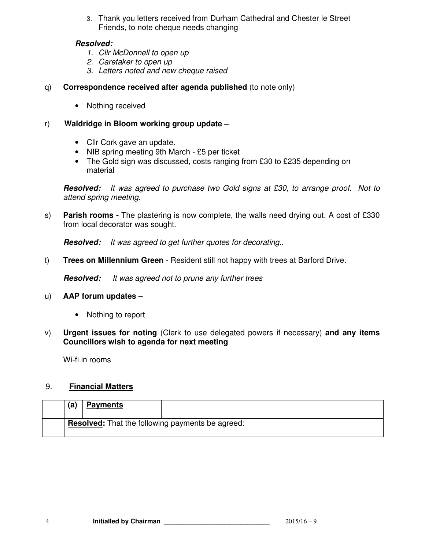3. Thank you letters received from Durham Cathedral and Chester le Street Friends, to note cheque needs changing

## **Resolved:**

- *1. Cllr McDonnell to open up*
- *2. Caretaker to open up*
- *3. Letters noted and new cheque raised*
- q) **Correspondence received after agenda published** (to note only)
	- Nothing received
- r) **Waldridge in Bloom working group update** 
	- Cllr Cork gave an update.
	- NIB spring meeting 9th March £5 per ticket
	- The Gold sign was discussed, costs ranging from £30 to £235 depending on material

**Resolved:** *It was agreed to purchase two Gold signs at £30, to arrange proof. Not to attend spring meeting.* 

s) **Parish rooms -** The plastering is now complete, the walls need drying out. A cost of £330 from local decorator was sought.

**Resolved:** *It was agreed to get further quotes for decorating..* 

t) **Trees on Millennium Green** - Resident still not happy with trees at Barford Drive.

**Resolved:** *It was agreed not to prune any further trees* 

### u) **AAP forum updates** –

- Nothing to report
- v) **Urgent issues for noting** (Clerk to use delegated powers if necessary) **and any items Councillors wish to agenda for next meeting**

Wi-fi in rooms

## 9. **Financial Matters**

| (a) | <b>Payments</b> |                                                         |
|-----|-----------------|---------------------------------------------------------|
|     |                 | <b>Resolved:</b> That the following payments be agreed: |